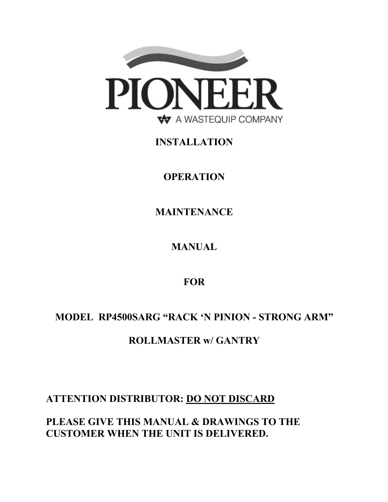

# **INSTALLATION**

**OPERATION**

**MAINTENANCE**

**MANUAL**

**FOR** 

# **MODEL RP4500SARG "RACK 'N PINION - STRONG ARM"**

# **ROLLMASTER w/ GANTRY**

# **ATTENTION DISTRIBUTOR: DO NOT DISCARD**

**PLEASE GIVE THIS MANUAL & DRAWINGS TO THE CUSTOMER WHEN THE UNIT IS DELIVERED.**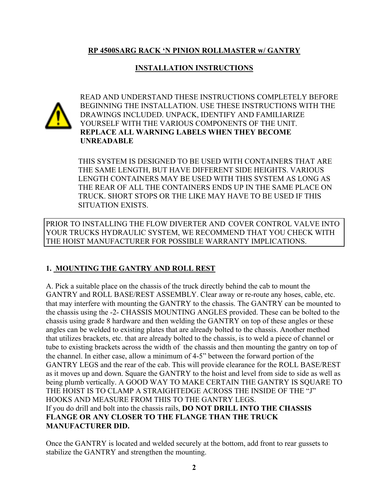## **RP 4500SARG RACK 'N PINION ROLLMASTER w/ GANTRY**

## **INSTALLATION INSTRUCTIONS**



 READ AND UNDERSTAND THESE INSTRUCTIONS COMPLETELY BEFORE BEGINNING THE INSTALLATION. USE THESE INSTRUCTIONS WITH THE DRAWINGS INCLUDED. UNPACK, IDENTIFY AND FAMILIARIZE YOURSELF WITH THE VARIOUS COMPONENTS OF THE UNIT. **REPLACE ALL WARNING LABELS WHEN THEY BECOME UNREADABLE**

 THIS SYSTEM IS DESIGNED TO BE USED WITH CONTAINERS THAT ARE THE SAME LENGTH, BUT HAVE DIFFERENT SIDE HEIGHTS. VARIOUS LENGTH CONTAINERS MAY BE USED WITH THIS SYSTEM AS LONG AS THE REAR OF ALL THE CONTAINERS ENDS UP IN THE SAME PLACE ON TRUCK. SHORT STOPS OR THE LIKE MAY HAVE TO BE USED IF THIS SITUATION EXISTS.

PRIOR TO INSTALLING THE FLOW DIVERTER AND COVER CONTROL VALVE INTO YOUR TRUCKS HYDRAULIC SYSTEM, WE RECOMMEND THAT YOU CHECK WITH THE HOIST MANUFACTURER FOR POSSIBLE WARRANTY IMPLICATIONS.

## **1. MOUNTING THE GANTRY AND ROLL REST**

A. Pick a suitable place on the chassis of the truck directly behind the cab to mount the GANTRY and ROLL BASE/REST ASSEMBLY. Clear away or re-route any hoses, cable, etc. that may interfere with mounting the GANTRY to the chassis. The GANTRY can be mounted to the chassis using the -2- CHASSIS MOUNTING ANGLES provided. These can be bolted to the chassis using grade 8 hardware and then welding the GANTRY on top of these angles or these angles can be welded to existing plates that are already bolted to the chassis. Another method that utilizes brackets, etc. that are already bolted to the chassis, is to weld a piece of channel or tube to existing brackets across the width of the chassis and then mounting the gantry on top of the channel. In either case, allow a minimum of 4-5" between the forward portion of the GANTRY LEGS and the rear of the cab. This will provide clearance for the ROLL BASE/REST as it moves up and down. Square the GANTRY to the hoist and level from side to side as well as being plumb vertically. A GOOD WAY TO MAKE CERTAIN THE GANTRY IS SQUARE TO THE HOIST IS TO CLAMP A STRAIGHTEDGE ACROSS THE INSIDE OF THE "J" HOOKS AND MEASURE FROM THIS TO THE GANTRY LEGS. If you do drill and bolt into the chassis rails, **DO NOT DRILL INTO THE CHASSIS FLANGE OR ANY CLOSER TO THE FLANGE THAN THE TRUCK MANUFACTURER DID.**

Once the GANTRY is located and welded securely at the bottom, add front to rear gussets to stabilize the GANTRY and strengthen the mounting.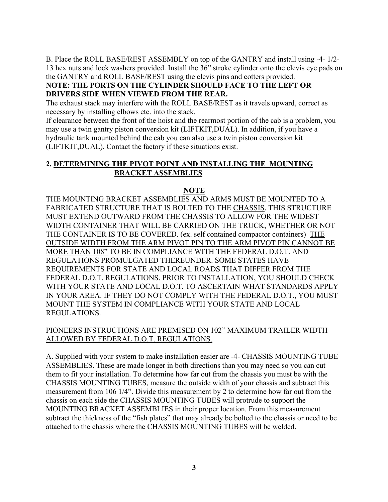B. Place the ROLL BASE/REST ASSEMBLY on top of the GANTRY and install using -4- 1/2- 13 hex nuts and lock washers provided. Install the 36" stroke cylinder onto the clevis eye pads on the GANTRY and ROLL BASE/REST using the clevis pins and cotters provided.

## **NOTE: THE PORTS ON THE CYLINDER SHOULD FACE TO THE LEFT OR DRIVERS SIDE WHEN VIEWED FROM THE REAR.**

The exhaust stack may interfere with the ROLL BASE/REST as it travels upward, correct as necessary by installing elbows etc. into the stack.

If clearance between the front of the hoist and the rearmost portion of the cab is a problem, you may use a twin gantry piston conversion kit (LIFTKIT,DUAL). In addition, if you have a hydraulic tank mounted behind the cab you can also use a twin piston conversion kit (LIFTKIT,DUAL). Contact the factory if these situations exist.

## **2. DETERMINING THE PIVOT POINT AND INSTALLING THE MOUNTING BRACKET ASSEMBLIES**

## **NOTE**

THE MOUNTING BRACKET ASSEMBLIES AND ARMS MUST BE MOUNTED TO A FABRICATED STRUCTURE THAT IS BOLTED TO THE CHASSIS. THIS STRUCTURE MUST EXTEND OUTWARD FROM THE CHASSIS TO ALLOW FOR THE WIDEST WIDTH CONTAINER THAT WILL BE CARRIED ON THE TRUCK, WHETHER OR NOT THE CONTAINER IS TO BE COVERED. (ex. self contained compactor containers) THE OUTSIDE WIDTH FROM THE ARM PIVOT PIN TO THE ARM PIVOT PIN CANNOT BE MORE THAN 108" TO BE IN COMPLIANCE WITH THE FEDERAL D.O.T. AND REGULATIONS PROMULGATED THEREUNDER. SOME STATES HAVE REQUIREMENTS FOR STATE AND LOCAL ROADS THAT DIFFER FROM THE FEDERAL D.O.T. REGULATIONS. PRIOR TO INSTALLATION, YOU SHOULD CHECK WITH YOUR STATE AND LOCAL D.O.T. TO ASCERTAIN WHAT STANDARDS APPLY IN YOUR AREA. IF THEY DO NOT COMPLY WITH THE FEDERAL D.O.T., YOU MUST MOUNT THE SYSTEM IN COMPLIANCE WITH YOUR STATE AND LOCAL REGULATIONS.

## PIONEERS INSTRUCTIONS ARE PREMISED ON 102" MAXIMUM TRAILER WIDTH ALLOWED BY FEDERAL D.O.T. REGULATIONS.

A. Supplied with your system to make installation easier are -4- CHASSIS MOUNTING TUBE ASSEMBLIES. These are made longer in both directions than you may need so you can cut them to fit your installation. To determine how far out from the chassis you must be with the CHASSIS MOUNTING TUBES, measure the outside width of your chassis and subtract this measurement from 106 1/4". Divide this measurement by 2 to determine how far out from the chassis on each side the CHASSIS MOUNTING TUBES will protrude to support the MOUNTING BRACKET ASSEMBLIES in their proper location. From this measurement subtract the thickness of the "fish plates" that may already be bolted to the chassis or need to be attached to the chassis where the CHASSIS MOUNTING TUBES will be welded.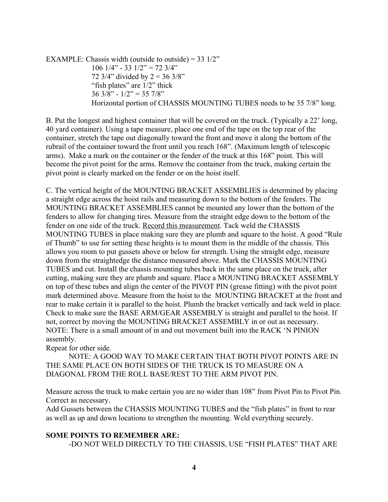EXAMPLE: Chassis width (outside to outside) =  $33 \frac{1}{2}$ " 106  $1/4$ " - 33  $1/2$ " = 72  $3/4$ " 72  $3/4$ " divided by  $2 = 363/8$ " "fish plates" are  $1/2$ " thick  $36$  3/8" -  $1/2$ " = 35 7/8" Horizontal portion of CHASSIS MOUNTING TUBES needs to be 35 7/8" long.

B. Put the longest and highest container that will be covered on the truck. (Typically a 22' long, 40 yard container). Using a tape measure, place one end of the tape on the top rear of the container, stretch the tape out diagonally toward the front and move it along the bottom of the rubrail of the container toward the front until you reach 168". (Maximum length of telescopic arms). Make a mark on the container or the fender of the truck at this 168" point. This will become the pivot point for the arms. Remove the container from the truck, making certain the pivot point is clearly marked on the fender or on the hoist itself.

C. The vertical height of the MOUNTING BRACKET ASSEMBLIES is determined by placing a straight edge across the hoist rails and measuring down to the bottom of the fenders. The MOUNTING BRACKET ASSEMBLIES cannot be mounted any lower than the bottom of the fenders to allow for changing tires. Measure from the straight edge down to the bottom of the fender on one side of the truck. Record this measurement. Tack weld the CHASSIS MOUNTING TUBES in place making sure they are plumb and square to the hoist. A good "Rule of Thumb" to use for setting these heights is to mount them in the middle of the chassis. This allows you room to put gussets above or below for strength. Using the straight edge, measure down from the straightedge the distance measured above. Mark the CHASSIS MOUNTING TUBES and cut. Install the chassis mounting tubes back in the same place on the truck, after cutting, making sure they are plumb and square. Place a MOUNTING BRACKET ASSEMBLY on top of these tubes and align the center of the PIVOT PIN (grease fitting) with the pivot point mark determined above. Measure from the hoist to the MOUNTING BRACKET at the front and rear to make certain it is parallel to the hoist. Plumb the bracket vertically and tack weld in place. Check to make sure the BASE ARM/GEAR ASSEMBLY is straight and parallel to the hoist. If not, correct by moving the MOUNTING BRACKET ASSEMBLY in or out as necessary. NOTE: There is a small amount of in and out movement built into the RACK 'N PINION assembly.

Repeat for other side.

NOTE: A GOOD WAY TO MAKE CERTAIN THAT BOTH PIVOT POINTS ARE IN THE SAME PLACE ON BOTH SIDES OF THE TRUCK IS TO MEASURE ON A DIAGONAL FROM THE ROLL BASE/REST TO THE ARM PIVOT PIN.

Measure across the truck to make certain you are no wider than 108" from Pivot Pin to Pivot Pin. Correct as necessary.

Add Gussets between the CHASSIS MOUNTING TUBES and the "fish plates" in front to rear as well as up and down locations to strengthen the mounting. Weld everything securely.

#### **SOME POINTS TO REMEMBER ARE:**

-DO NOT WELD DIRECTLY TO THE CHASSIS, USE "FISH PLATES" THAT ARE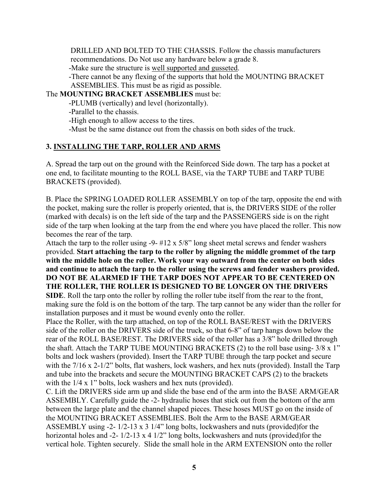DRILLED AND BOLTED TO THE CHASSIS. Follow the chassis manufacturers recommendations. Do Not use any hardware below a grade 8. -Make sure the structure is well supported and gusseted.

-There cannot be any flexing of the supports that hold the MOUNTING BRACKET ASSEMBLIES. This must be as rigid as possible.

The **MOUNTING BRACKET ASSEMBLIES** must be:

-PLUMB (vertically) and level (horizontally).

-Parallel to the chassis.

-High enough to allow access to the tires.

-Must be the same distance out from the chassis on both sides of the truck.

## **3. INSTALLING THE TARP, ROLLER AND ARMS**

A. Spread the tarp out on the ground with the Reinforced Side down. The tarp has a pocket at one end, to facilitate mounting to the ROLL BASE, via the TARP TUBE and TARP TUBE BRACKETS (provided).

B. Place the SPRING LOADED ROLLER ASSEMBLY on top of the tarp, opposite the end with the pocket, making sure the roller is properly oriented, that is, the DRIVERS SIDE of the roller (marked with decals) is on the left side of the tarp and the PASSENGERS side is on the right side of the tarp when looking at the tarp from the end where you have placed the roller. This now becomes the rear of the tarp.

Attach the tarp to the roller using -9- #12 x 5/8" long sheet metal screws and fender washers provided. **Start attaching the tarp to the roller by aligning the middle grommet of the tarp with the middle hole on the roller. Work your way outward from the center on both sides and continue to attach the tarp to the roller using the screws and fender washers provided. DO NOT BE ALARMED IF THE TARP DOES NOT APPEAR TO BE CENTERED ON THE ROLLER, THE ROLLER IS DESIGNED TO BE LONGER ON THE DRIVERS SIDE**. Roll the tarp onto the roller by rolling the roller tube itself from the rear to the front, making sure the fold is on the bottom of the tarp. The tarp cannot be any wider than the roller for

installation purposes and it must be wound evenly onto the roller. Place the Roller, with the tarp attached, on top of the ROLL BASE/REST with the DRIVERS side of the roller on the DRIVERS side of the truck, so that 6-8" of tarp hangs down below the rear of the ROLL BASE/REST. The DRIVERS side of the roller has a 3/8" hole drilled through the shaft. Attach the TARP TUBE MOUNTING BRACKETS (2) to the roll base using- 3/8 x 1" bolts and lock washers (provided). Insert the TARP TUBE through the tarp pocket and secure with the  $7/16$  x  $2-1/2$ " bolts, flat washers, lock washers, and hex nuts (provided). Install the Tarp and tube into the brackets and secure the MOUNTING BRACKET CAPS (2) to the brackets with the  $1/4 \times 1$ " bolts, lock washers and hex nuts (provided).

C. Lift the DRIVERS side arm up and slide the base end of the arm into the BASE ARM/GEAR ASSEMBLY. Carefully guide the -2- hydraulic hoses that stick out from the bottom of the arm between the large plate and the channel shaped pieces. These hoses MUST go on the inside of the MOUNTING BRACKET ASSEMBLIES. Bolt the Arm to the BASE ARM/GEAR ASSEMBLY using -2- 1/2-13 x 3 1/4" long bolts, lockwashers and nuts (provided)for the horizontal holes and -2-  $1/2$ -13 x 4  $1/2$ " long bolts, lockwashers and nuts (provided)for the vertical hole. Tighten securely. Slide the small hole in the ARM EXTENSION onto the roller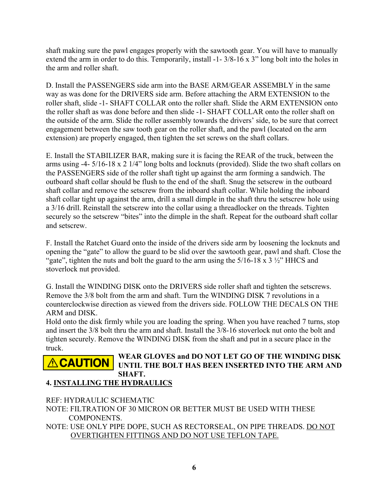shaft making sure the pawl engages properly with the sawtooth gear. You will have to manually extend the arm in order to do this. Temporarily, install -1- 3/8-16 x 3" long bolt into the holes in the arm and roller shaft.

D. Install the PASSENGERS side arm into the BASE ARM/GEAR ASSEMBLY in the same way as was done for the DRIVERS side arm. Before attaching the ARM EXTENSION to the roller shaft, slide -1- SHAFT COLLAR onto the roller shaft. Slide the ARM EXTENSION onto the roller shaft as was done before and then slide -1- SHAFT COLLAR onto the roller shaft on the outside of the arm. Slide the roller assembly towards the drivers' side, to be sure that correct engagement between the saw tooth gear on the roller shaft, and the pawl (located on the arm extension) are properly engaged, then tighten the set screws on the shaft collars.

E. Install the STABILIZER BAR, making sure it is facing the REAR of the truck, between the arms using -4- 5/16-18 x 2 1/4" long bolts and locknuts (provided). Slide the two shaft collars on the PASSENGERS side of the roller shaft tight up against the arm forming a sandwich. The outboard shaft collar should be flush to the end of the shaft. Snug the setscrew in the outboard shaft collar and remove the setscrew from the inboard shaft collar. While holding the inboard shaft collar tight up against the arm, drill a small dimple in the shaft thru the setscrew hole using a 3/16 drill. Reinstall the setscrew into the collar using a threadlocker on the threads. Tighten securely so the setscrew "bites" into the dimple in the shaft. Repeat for the outboard shaft collar and setscrew.

F. Install the Ratchet Guard onto the inside of the drivers side arm by loosening the locknuts and opening the "gate" to allow the guard to be slid over the sawtooth gear, pawl and shaft. Close the "gate", tighten the nuts and bolt the guard to the arm using the  $5/16-18 \times 3 \frac{1}{2}$ " HHCS and stoverlock nut provided.

G. Install the WINDING DISK onto the DRIVERS side roller shaft and tighten the setscrews. Remove the 3/8 bolt from the arm and shaft. Turn the WINDING DISK 7 revolutions in a counterclockwise direction as viewed from the drivers side. FOLLOW THE DECALS ON THE ARM and DISK.

Hold onto the disk firmly while you are loading the spring. When you have reached 7 turns, stop and insert the 3/8 bolt thru the arm and shaft. Install the 3/8-16 stoverlock nut onto the bolt and tighten securely. Remove the WINDING DISK from the shaft and put in a secure place in the truck.



## **CAUTION** WEAR GLOVES and DO NOT LET GO OF THE WINDING DISK  **UNTIL THE BOLT HAS BEEN INSERTED INTO THE ARM AND SHAFT.**

## **4. INSTALLING THE HYDRAULICS**

REF: HYDRAULIC SCHEMATIC

NOTE: FILTRATION OF 30 MICRON OR BETTER MUST BE USED WITH THESE COMPONENTS.

NOTE: USE ONLY PIPE DOPE, SUCH AS RECTORSEAL, ON PIPE THREADS. DO NOT OVERTIGHTEN FITTINGS AND DO NOT USE TEFLON TAPE.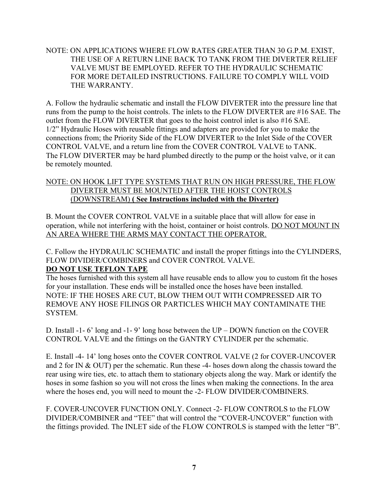## NOTE: ON APPLICATIONS WHERE FLOW RATES GREATER THAN 30 G.P.M. EXIST, THE USE OF A RETURN LINE BACK TO TANK FROM THE DIVERTER RELIEF VALVE MUST BE EMPLOYED. REFER TO THE HYDRAULIC SCHEMATIC FOR MORE DETAILED INSTRUCTIONS. FAILURE TO COMPLY WILL VOID THE WARRANTY.

A. Follow the hydraulic schematic and install the FLOW DIVERTER into the pressure line that runs from the pump to the hoist controls. The inlets to the FLOW DIVERTER are #16 SAE. The outlet from the FLOW DIVERTER that goes to the hoist control inlet is also #16 SAE. 1/2" Hydraulic Hoses with reusable fittings and adapters are provided for you to make the connections from; the Priority Side of the FLOW DIVERTER to the Inlet Side of the COVER CONTROL VALVE, and a return line from the COVER CONTROL VALVE to TANK. The FLOW DIVERTER may be hard plumbed directly to the pump or the hoist valve, or it can be remotely mounted.

## NOTE: ON HOOK LIFT TYPE SYSTEMS THAT RUN ON HIGH PRESSURE, THE FLOW DIVERTER MUST BE MOUNTED AFTER THE HOIST CONTROLS (DOWNSTREAM) **( See Instructions included with the Diverter)**

B. Mount the COVER CONTROL VALVE in a suitable place that will allow for ease in operation, while not interfering with the hoist, container or hoist controls. DO NOT MOUNT IN AN AREA WHERE THE ARMS MAY CONTACT THE OPERATOR.

C. Follow the HYDRAULIC SCHEMATIC and install the proper fittings into the CYLINDERS, FLOW DIVIDER/COMBINERS and COVER CONTROL VALVE. **DO NOT USE TEFLON TAPE**

The hoses furnished with this system all have reusable ends to allow you to custom fit the hoses for your installation. These ends will be installed once the hoses have been installed. NOTE: IF THE HOSES ARE CUT, BLOW THEM OUT WITH COMPRESSED AIR TO REMOVE ANY HOSE FILINGS OR PARTICLES WHICH MAY CONTAMINATE THE SYSTEM.

D. Install -1- 6' long and -1- 9' long hose between the UP – DOWN function on the COVER CONTROL VALVE and the fittings on the GANTRY CYLINDER per the schematic.

E. Install -4- 14' long hoses onto the COVER CONTROL VALVE (2 for COVER-UNCOVER and 2 for IN & OUT) per the schematic. Run these -4- hoses down along the chassis toward the rear using wire ties, etc. to attach them to stationary objects along the way. Mark or identify the hoses in some fashion so you will not cross the lines when making the connections. In the area where the hoses end, you will need to mount the -2- FLOW DIVIDER/COMBINERS.

F. COVER-UNCOVER FUNCTION ONLY. Connect -2- FLOW CONTROLS to the FLOW DIVIDER/COMBINER and "TEE" that will control the "COVER-UNCOVER" function with the fittings provided. The INLET side of the FLOW CONTROLS is stamped with the letter "B".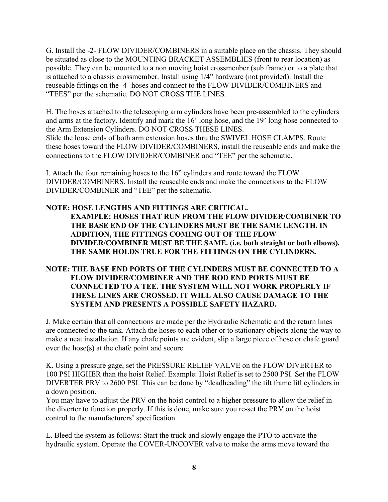G. Install the -2- FLOW DIVIDER/COMBINERS in a suitable place on the chassis. They should be situated as close to the MOUNTING BRACKET ASSEMBLIES (front to rear location) as possible. They can be mounted to a non moving hoist crossmenber (sub frame) or to a plate that is attached to a chassis crossmember. Install using 1/4" hardware (not provided). Install the reuseable fittings on the -4- hoses and connect to the FLOW DIVIDER/COMBINERS and "TEES" per the schematic. DO NOT CROSS THE LINES.

H. The hoses attached to the telescoping arm cylinders have been pre-assembled to the cylinders and arms at the factory. Identify and mark the 16' long hose, and the 19' long hose connected to the Arm Extension Cylinders. DO NOT CROSS THESE LINES. Slide the loose ends of both arm extension hoses thru the SWIVEL HOSE CLAMPS. Route these hoses toward the FLOW DIVIDER/COMBINERS, install the reuseable ends and make the connections to the FLOW DIVIDER/COMBINER and "TEE" per the schematic.

I. Attach the four remaining hoses to the 16" cylinders and route toward the FLOW DIVIDER/COMBINERS. Install the reuseable ends and make the connections to the FLOW DIVIDER/COMBINER and "TEE" per the schematic.

#### **NOTE: HOSE LENGTHS AND FITTINGS ARE CRITICAL. EXAMPLE: HOSES THAT RUN FROM THE FLOW DIVIDER/COMBINER TO THE BASE END OF THE CYLINDERS MUST BE THE SAME LENGTH. IN ADDITION, THE FITTINGS COMING OUT OF THE FLOW DIVIDER/COMBINER MUST BE THE SAME. (i.e. both straight or both elbows). THE SAME HOLDS TRUE FOR THE FITTINGS ON THE CYLINDERS.**

## **NOTE: THE BASE END PORTS OF THE CYLINDERS MUST BE CONNECTED TO A FLOW DIVIDER/COMBINER AND THE ROD END PORTS MUST BE CONNECTED TO A TEE. THE SYSTEM WILL NOT WORK PROPERLY IF THESE LINES ARE CROSSED. IT WILL ALSO CAUSE DAMAGE TO THE SYSTEM AND PRESENTS A POSSIBLE SAFETY HAZARD.**

J. Make certain that all connections are made per the Hydraulic Schematic and the return lines are connected to the tank. Attach the hoses to each other or to stationary objects along the way to make a neat installation. If any chafe points are evident, slip a large piece of hose or chafe guard over the hose(s) at the chafe point and secure.

K. Using a pressure gage, set the PRESSURE RELIEF VALVE on the FLOW DIVERTER to 100 PSI HIGHER than the hoist Relief. Example: Hoist Relief is set to 2500 PSI. Set the FLOW DIVERTER PRV to 2600 PSI. This can be done by "deadheading" the tilt frame lift cylinders in a down position.

You may have to adjust the PRV on the hoist control to a higher pressure to allow the relief in the diverter to function properly. If this is done, make sure you re-set the PRV on the hoist control to the manufacturers' specification.

L. Bleed the system as follows: Start the truck and slowly engage the PTO to activate the hydraulic system. Operate the COVER-UNCOVER valve to make the arms move toward the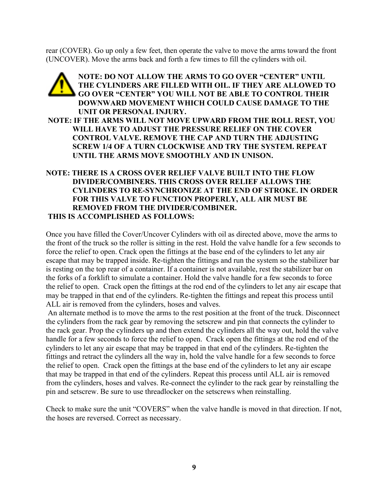rear (COVER). Go up only a few feet, then operate the valve to move the arms toward the front (UNCOVER). Move the arms back and forth a few times to fill the cylinders with oil.

## **NOTE: DO NOT ALLOW THE ARMS TO GO OVER "CENTER" UNTIL THE CYLINDERS ARE FILLED WITH OIL. IF THEY ARE ALLOWED TO GO OVER "CENTER" YOU WILL NOT BE ABLE TO CONTROL THEIR DOWNWARD MOVEMENT WHICH COULD CAUSE DAMAGE TO THE UNIT OR PERSONAL INJURY. NOTE: IF THE ARMS WILL NOT MOVE UPWARD FROM THE ROLL REST, YOU WILL HAVE TO ADJUST THE PRESSURE RELIEF ON THE COVER CONTROL VALVE. REMOVE THE CAP AND TURN THE ADJUSTING SCREW 1/4 OF A TURN CLOCKWISE AND TRY THE SYSTEM. REPEAT UNTIL THE ARMS MOVE SMOOTHLY AND IN UNISON. NOTE: THERE IS A CROSS OVER RELIEF VALVE BUILT INTO THE FLOW**

## **DIVIDER/COMBINERS. THIS CROSS OVER RELIEF ALLOWS THE CYLINDERS TO RE-SYNCHRONIZE AT THE END OF STROKE. IN ORDER FOR THIS VALVE TO FUNCTION PROPERLY, ALL AIR MUST BE REMOVED FROM THE DIVIDER/COMBINER. THIS IS ACCOMPLISHED AS FOLLOWS:**

Once you have filled the Cover/Uncover Cylinders with oil as directed above, move the arms to the front of the truck so the roller is sitting in the rest. Hold the valve handle for a few seconds to force the relief to open. Crack open the fittings at the base end of the cylinders to let any air escape that may be trapped inside. Re-tighten the fittings and run the system so the stabilizer bar is resting on the top rear of a container. If a container is not available, rest the stabilizer bar on the forks of a forklift to simulate a container. Hold the valve handle for a few seconds to force the relief to open. Crack open the fittings at the rod end of the cylinders to let any air escape that may be trapped in that end of the cylinders. Re-tighten the fittings and repeat this process until ALL air is removed from the cylinders, hoses and valves.

An alternate method is to move the arms to the rest position at the front of the truck. Disconnect the cylinders from the rack gear by removing the setscrew and pin that connects the cylinder to the rack gear. Prop the cylinders up and then extend the cylinders all the way out, hold the valve handle for a few seconds to force the relief to open. Crack open the fittings at the rod end of the cylinders to let any air escape that may be trapped in that end of the cylinders. Re-tighten the fittings and retract the cylinders all the way in, hold the valve handle for a few seconds to force the relief to open. Crack open the fittings at the base end of the cylinders to let any air escape that may be trapped in that end of the cylinders. Repeat this process until ALL air is removed from the cylinders, hoses and valves. Re-connect the cylinder to the rack gear by reinstalling the pin and setscrew. Be sure to use threadlocker on the setscrews when reinstalling.

Check to make sure the unit "COVERS" when the valve handle is moved in that direction. If not, the hoses are reversed. Correct as necessary.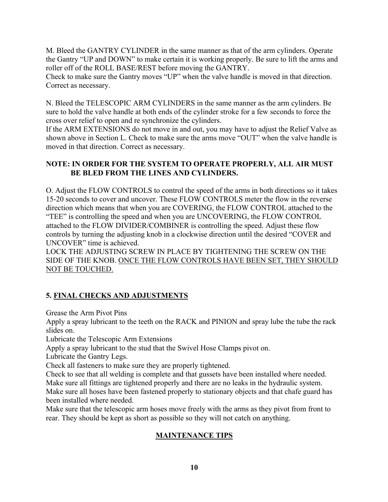M. Bleed the GANTRY CYLINDER in the same manner as that of the arm cylinders. Operate the Gantry "UP and DOWN" to make certain it is working properly. Be sure to lift the arms and roller off of the ROLL BASE/REST before moving the GANTRY.

Check to make sure the Gantry moves "UP" when the valve handle is moved in that direction. Correct as necessary.

N. Bleed the TELESCOPIC ARM CYLINDERS in the same manner as the arm cylinders. Be sure to hold the valve handle at both ends of the cylinder stroke for a few seconds to force the cross over relief to open and re synchronize the cylinders.

If the ARM EXTENSIONS do not move in and out, you may have to adjust the Relief Valve as shown above in Section L. Check to make sure the arms move "OUT" when the valve handle is moved in that direction. Correct as necessary.

## **NOTE: IN ORDER FOR THE SYSTEM TO OPERATE PROPERLY, ALL AIR MUST BE BLED FROM THE LINES AND CYLINDERS.**

O. Adjust the FLOW CONTROLS to control the speed of the arms in both directions so it takes 15-20 seconds to cover and uncover. These FLOW CONTROLS meter the flow in the reverse direction which means that when you are COVERING, the FLOW CONTROL attached to the "TEE" is controlling the speed and when you are UNCOVERING, the FLOW CONTROL attached to the FLOW DIVIDER/COMBINER is controlling the speed. Adjust these flow controls by turning the adjusting knob in a clockwise direction until the desired "COVER and UNCOVER" time is achieved.

LOCK THE ADJUSTING SCREW IN PLACE BY TIGHTENING THE SCREW ON THE SIDE OF THE KNOB. ONCE THE FLOW CONTROLS HAVE BEEN SET, THEY SHOULD NOT BE TOUCHED.

## **5. FINAL CHECKS AND ADJUSTMENTS**

Grease the Arm Pivot Pins

Apply a spray lubricant to the teeth on the RACK and PINION and spray lube the tube the rack slides on.

Lubricate the Telescopic Arm Extensions

Apply a spray lubricant to the stud that the Swivel Hose Clamps pivot on.

Lubricate the Gantry Legs.

Check all fasteners to make sure they are properly tightened.

Check to see that all welding is complete and that gussets have been installed where needed.

Make sure all fittings are tightened properly and there are no leaks in the hydraulic system.

Make sure all hoses have been fastened properly to stationary objects and that chafe guard has been installed where needed.

Make sure that the telescopic arm hoses move freely with the arms as they pivot from front to rear. They should be kept as short as possible so they will not catch on anything.

## **MAINTENANCE TIPS**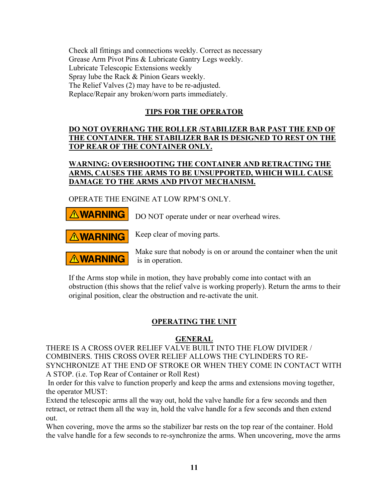Check all fittings and connections weekly. Correct as necessary Grease Arm Pivot Pins & Lubricate Gantry Legs weekly. Lubricate Telescopic Extensions weekly Spray lube the Rack & Pinion Gears weekly. The Relief Valves (2) may have to be re-adjusted. Replace/Repair any broken/worn parts immediately.

## **TIPS FOR THE OPERATOR**

## **DO NOT OVERHANG THE ROLLER /STABILIZER BAR PAST THE END OF THE CONTAINER. THE STABILIZER BAR IS DESIGNED TO REST ON THE TOP REAR OF THE CONTAINER ONLY.**

## **WARNING: OVERSHOOTING THE CONTAINER AND RETRACTING THE ARMS, CAUSES THE ARMS TO BE UNSUPPORTED, WHICH WILL CAUSE DAMAGE TO THE ARMS AND PIVOT MECHANISM.**

OPERATE THE ENGINE AT LOW RPM'S ONLY.



is in operation.

If the Arms stop while in motion, they have probably come into contact with an obstruction (this shows that the relief valve is working properly). Return the arms to their original position, clear the obstruction and re-activate the unit.

## **OPERATING THE UNIT**

## **GENERAL**

THERE IS A CROSS OVER RELIEF VALVE BUILT INTO THE FLOW DIVIDER / COMBINERS. THIS CROSS OVER RELIEF ALLOWS THE CYLINDERS TO RE-SYNCHRONIZE AT THE END OF STROKE OR WHEN THEY COME IN CONTACT WITH A STOP. (i.e. Top Rear of Container or Roll Rest)

In order for this valve to function properly and keep the arms and extensions moving together, the operator MUST:

Extend the telescopic arms all the way out, hold the valve handle for a few seconds and then retract, or retract them all the way in, hold the valve handle for a few seconds and then extend out.

When covering, move the arms so the stabilizer bar rests on the top rear of the container. Hold the valve handle for a few seconds to re-synchronize the arms. When uncovering, move the arms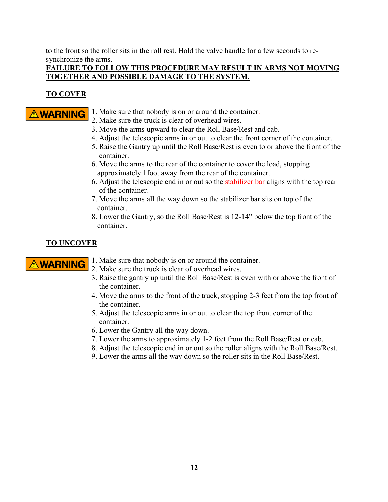to the front so the roller sits in the roll rest. Hold the valve handle for a few seconds to resynchronize the arms.

## **FAILURE TO FOLLOW THIS PROCEDURE MAY RESULT IN ARMS NOT MOVING TOGETHER AND POSSIBLE DAMAGE TO THE SYSTEM.**

## **TO COVER**

- $\Lambda$  **WARNING** 1. Make sure that nobody is on or around the container.
	- 2. Make sure the truck is clear of overhead wires.
	- 3. Move the arms upward to clear the Roll Base/Rest and cab.
	- 4. Adjust the telescopic arms in or out to clear the front corner of the container.
	- 5. Raise the Gantry up until the Roll Base/Rest is even to or above the front of the container.
	- 6. Move the arms to the rear of the container to cover the load, stopping approximately 1foot away from the rear of the container.
	- 6. Adjust the telescopic end in or out so the stabilizer bar aligns with the top rear of the container.
	- 7. Move the arms all the way down so the stabilizer bar sits on top of the container.
	- 8. Lower the Gantry, so the Roll Base/Rest is 12-14" below the top front of the container.

## **TO UNCOVER**

- $\triangle$  **WARNING** 1. Make sure that nobody is on or around the container.
	- 2. Make sure the truck is clear of overhead wires.
	- 3. Raise the gantry up until the Roll Base/Rest is even with or above the front of the container.
	- 4. Move the arms to the front of the truck, stopping 2-3 feet from the top front of the container.
	- 5. Adjust the telescopic arms in or out to clear the top front corner of the container.
	- 6. Lower the Gantry all the way down.
	- 7. Lower the arms to approximately 1-2 feet from the Roll Base/Rest or cab.
	- 8. Adjust the telescopic end in or out so the roller aligns with the Roll Base/Rest.
	- 9. Lower the arms all the way down so the roller sits in the Roll Base/Rest.